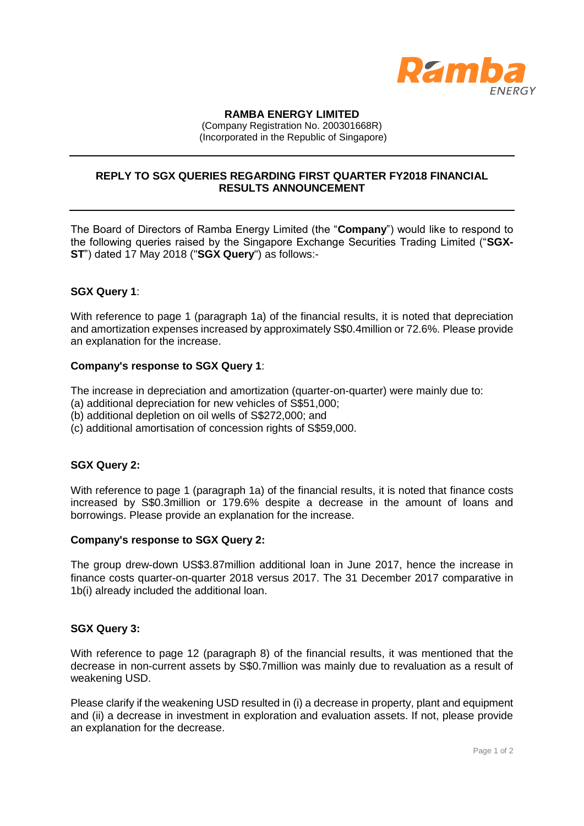

### **RAMBA ENERGY LIMITED**

(Company Registration No. 200301668R) (Incorporated in the Republic of Singapore)

# **REPLY TO SGX QUERIES REGARDING FIRST QUARTER FY2018 FINANCIAL RESULTS ANNOUNCEMENT**

The Board of Directors of Ramba Energy Limited (the "**Company**") would like to respond to the following queries raised by the Singapore Exchange Securities Trading Limited ("**SGX-ST**") dated 17 May 2018 ("**SGX Query**") as follows:-

## **SGX Query 1**:

With reference to page 1 (paragraph 1a) of the financial results, it is noted that depreciation and amortization expenses increased by approximately S\$0.4million or 72.6%. Please provide an explanation for the increase.

### **Company's response to SGX Query 1**:

The increase in depreciation and amortization (quarter-on-quarter) were mainly due to:

- (a) additional depreciation for new vehicles of S\$51,000;
- (b) additional depletion on oil wells of S\$272,000; and
- (c) additional amortisation of concession rights of S\$59,000.

### **SGX Query 2:**

With reference to page 1 (paragraph 1a) of the financial results, it is noted that finance costs increased by S\$0.3million or 179.6% despite a decrease in the amount of loans and borrowings. Please provide an explanation for the increase.

### **Company's response to SGX Query 2:**

The group drew-down US\$3.87million additional loan in June 2017, hence the increase in finance costs quarter-on-quarter 2018 versus 2017. The 31 December 2017 comparative in 1b(i) already included the additional loan.

### **SGX Query 3:**

With reference to page 12 (paragraph 8) of the financial results, it was mentioned that the decrease in non-current assets by S\$0.7million was mainly due to revaluation as a result of weakening USD.

Please clarify if the weakening USD resulted in (i) a decrease in property, plant and equipment and (ii) a decrease in investment in exploration and evaluation assets. If not, please provide an explanation for the decrease.